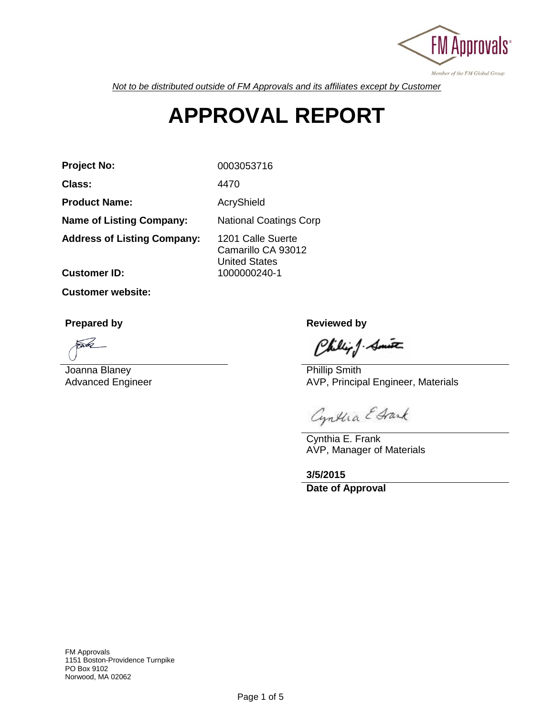

*Not to be distributed outside of FM Approvals and its affiliates except by Customer*

# **APPROVAL REPORT**

**Project No:** 0003053716

**Class:** 4470

Product Name: AcryShield

**Name of Listing Company:** National Coatings Corp

**Address of Listing Company:** 1201 Calle Suerte

Camarillo CA 93012 United States **Customer ID:** 1000000240-1

**Customer website:**

**Prepared by Reviewed by Reviewed by** 

 $\widehat{\phantom{a}}$ 

Joanna Blaney Advanced Engineer

Chillip J. Smith

Phillip Smith AVP, Principal Engineer, Materials

Cynthia E Grank

Cynthia E. Frank AVP, Manager of Materials

**3/5/2015 Date of Approval**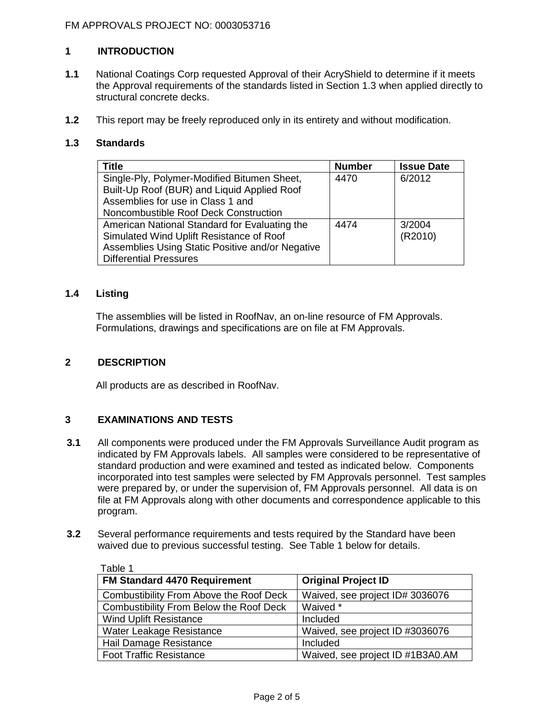# **1 INTRODUCTION**

- **1.1** National Coatings Corp requested Approval of their AcryShield to determine if it meets the Approval requirements of the standards listed in Section 1.3 when applied directly to structural concrete decks.
- **1.2** This report may be freely reproduced only in its entirety and without modification.

#### **1.3 Standards**

| <b>Title</b>                                     | <b>Number</b> | <b>Issue Date</b> |
|--------------------------------------------------|---------------|-------------------|
| Single-Ply, Polymer-Modified Bitumen Sheet,      | 4470          | 6/2012            |
| Built-Up Roof (BUR) and Liquid Applied Roof      |               |                   |
| Assemblies for use in Class 1 and                |               |                   |
| Noncombustible Roof Deck Construction            |               |                   |
| American National Standard for Evaluating the    | 4474          | 3/2004            |
| Simulated Wind Uplift Resistance of Roof         |               | (R2010)           |
| Assemblies Using Static Positive and/or Negative |               |                   |
| <b>Differential Pressures</b>                    |               |                   |

# **1.4 Listing**

The assemblies will be listed in RoofNav, an on-line resource of FM Approvals. Formulations, drawings and specifications are on file at FM Approvals.

#### **2 DESCRIPTION**

All products are as described in RoofNav.

## **3 EXAMINATIONS AND TESTS**

- **3.1** All components were produced under the FM Approvals Surveillance Audit program as indicated by FM Approvals labels. All samples were considered to be representative of standard production and were examined and tested as indicated below. Components incorporated into test samples were selected by FM Approvals personnel. Test samples were prepared by, or under the supervision of, FM Approvals personnel. All data is on file at FM Approvals along with other documents and correspondence applicable to this program.
- **3.2** Several performance requirements and tests required by the Standard have been waived due to previous successful testing. See Table 1 below for details.

| Table 1                                        |                                  |
|------------------------------------------------|----------------------------------|
| <b>FM Standard 4470 Requirement</b>            | <b>Original Project ID</b>       |
| <b>Combustibility From Above the Roof Deck</b> | Waived, see project ID# 3036076  |
| Combustibility From Below the Roof Deck        | Waived *                         |
| <b>Wind Uplift Resistance</b>                  | Included                         |
| Water Leakage Resistance                       | Waived, see project ID #3036076  |
| Hail Damage Resistance                         | Included                         |
| <b>Foot Traffic Resistance</b>                 | Waived, see project ID #1B3A0.AM |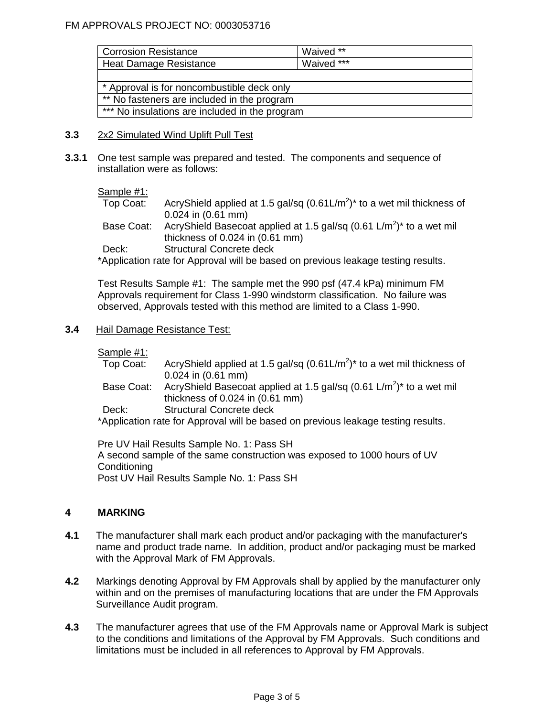| <b>Corrosion Resistance</b>                    | Waived **  |  |
|------------------------------------------------|------------|--|
| Heat Damage Resistance                         | Waived *** |  |
|                                                |            |  |
| * Approval is for noncombustible deck only     |            |  |
| ** No fasteners are included in the program    |            |  |
| *** No insulations are included in the program |            |  |

- **3.3** 2x2 Simulated Wind Uplift Pull Test
- **3.3.1** One test sample was prepared and tested. The components and sequence of installation were as follows:

#### Sample #1:

Top Coat: AcryShield applied at 1.5 gal/sq  $(0.61 \text{L/m}^2)$ <sup>\*</sup> to a wet mil thickness of 0.024 in (0.61 mm)

Base Coat: AcryShield Basecoat applied at 1.5 gal/sq  $(0.61 \text{ L/m}^2)^*$  to a wet mil thickness of 0.024 in (0.61 mm)

Deck: Structural Concrete deck

\*Application rate for Approval will be based on previous leakage testing results.

Test Results Sample #1: The sample met the 990 psf (47.4 kPa) minimum FM Approvals requirement for Class 1-990 windstorm classification. No failure was observed, Approvals tested with this method are limited to a Class 1-990.

#### **3.4** Hail Damage Resistance Test:

Sample #1:

Top Coat: AcryShield applied at 1.5 gal/sq  $(0.61 \text{L/m}^2)^*$  to a wet mil thickness of 0.024 in (0.61 mm) Base Coat: AcryShield Basecoat applied at 1.5 gal/sq  $(0.61 \text{ L/m}^2)^*$  to a wet mil thickness of 0.024 in (0.61 mm) Deck: Structural Concrete deck \*Application rate for Approval will be based on previous leakage testing results.

Pre UV Hail Results Sample No. 1: Pass SH A second sample of the same construction was exposed to 1000 hours of UV **Conditioning** Post UV Hail Results Sample No. 1: Pass SH

## **4 MARKING**

- **4.1** The manufacturer shall mark each product and/or packaging with the manufacturer's name and product trade name. In addition, product and/or packaging must be marked with the Approval Mark of FM Approvals.
- **4.2** Markings denoting Approval by FM Approvals shall by applied by the manufacturer only within and on the premises of manufacturing locations that are under the FM Approvals Surveillance Audit program.
- **4.3** The manufacturer agrees that use of the FM Approvals name or Approval Mark is subject to the conditions and limitations of the Approval by FM Approvals. Such conditions and limitations must be included in all references to Approval by FM Approvals.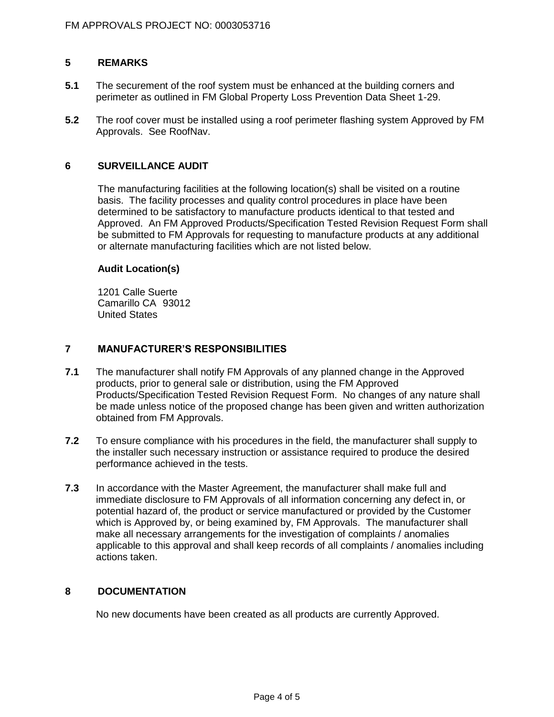## **5 REMARKS**

- **5.1** The securement of the roof system must be enhanced at the building corners and perimeter as outlined in FM Global Property Loss Prevention Data Sheet 1-29.
- **5.2** The roof cover must be installed using a roof perimeter flashing system Approved by FM Approvals. See RoofNav.

#### **6 SURVEILLANCE AUDIT**

The manufacturing facilities at the following location(s) shall be visited on a routine basis. The facility processes and quality control procedures in place have been determined to be satisfactory to manufacture products identical to that tested and Approved. An FM Approved Products/Specification Tested Revision Request Form shall be submitted to FM Approvals for requesting to manufacture products at any additional or alternate manufacturing facilities which are not listed below.

#### **Audit Location(s)**

1201 Calle Suerte Camarillo CA 93012 United States

## **7 MANUFACTURER'S RESPONSIBILITIES**

- **7.1** The manufacturer shall notify FM Approvals of any planned change in the Approved products, prior to general sale or distribution, using the FM Approved Products/Specification Tested Revision Request Form. No changes of any nature shall be made unless notice of the proposed change has been given and written authorization obtained from FM Approvals.
- **7.2** To ensure compliance with his procedures in the field, the manufacturer shall supply to the installer such necessary instruction or assistance required to produce the desired performance achieved in the tests.
- **7.3** In accordance with the Master Agreement, the manufacturer shall make full and immediate disclosure to FM Approvals of all information concerning any defect in, or potential hazard of, the product or service manufactured or provided by the Customer which is Approved by, or being examined by, FM Approvals. The manufacturer shall make all necessary arrangements for the investigation of complaints / anomalies applicable to this approval and shall keep records of all complaints / anomalies including actions taken.

#### **8 DOCUMENTATION**

No new documents have been created as all products are currently Approved.